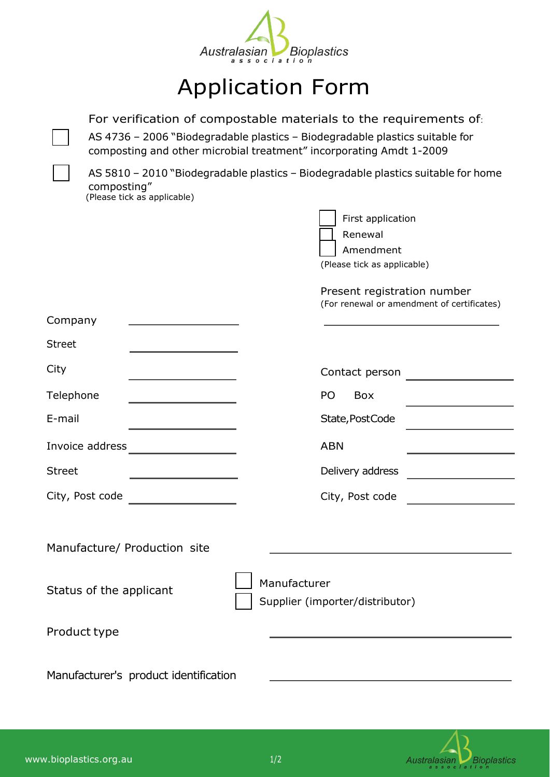

## Application Form

For verification of compostable materials to the requirements of:

AS 4736 – 2006 "Biodegradable plastics – Biodegradable plastics suitable for composting and other microbial treatment" incorporating Amdt 1-2009

AS 5810 – 2010 "Biodegradable plastics – Biodegradable plastics suitable for home composting"

(Please tick as applicable)

|                             | First application |  |  |  |
|-----------------------------|-------------------|--|--|--|
|                             | Renewal           |  |  |  |
|                             | Amendment         |  |  |  |
| (Please tick as applicable) |                   |  |  |  |

## Present registration number (For renewal or amendment of certificates)

| Company                      |                                                 |
|------------------------------|-------------------------------------------------|
| <b>Street</b>                |                                                 |
| City                         | Contact person                                  |
| Telephone                    | PO <sub>1</sub><br>Box                          |
| E-mail                       | State, PostCode                                 |
| Invoice address              | <b>ABN</b>                                      |
| <b>Street</b>                | Delivery address                                |
| City, Post code              | City, Post code                                 |
|                              |                                                 |
| Manufacture/ Production site |                                                 |
| Status of the applicant      | Manufacturer<br>Supplier (importer/distributor) |
| Product type                 |                                                 |

Manufacturer's product identification